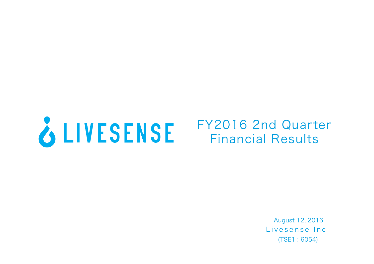

# FY2016 2nd Quarter Financial Results

Livesense Inc. (TSE1 : 6054) August 12, 2016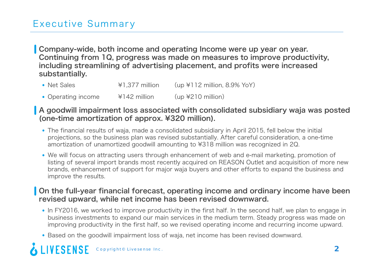# Executive Summary

Company-wide, both income and operating Income were up year on year. Continuing from 1Q, progress was made on measures to improve productivity, including streamlining of advertising placement, and profits were increased substantially.

- Net Sales  $\overline{Y}$  +1,377 million (up \times 112 million, 8.9% YoY)
- Operating income  $\frac{4142}{100}$  million (up \text{210 million)

#### A goodwill impairment loss associated with consolidated subsidiary waja was posted (one-time amortization of approx. ¥320 million).

- The financial results of waja, made a consolidated subsidiary in April 2015, fell below the initial projections, so the business plan was revised substantially. After careful consideration, a one-time amortization of unamortized goodwill amounting to ¥318 million was recognized in 2Q.
- We will focus on attracting users through enhancement of web and e-mail marketing, promotion of listing of several import brands most recently acquired on REASON Outlet and acquisition of more new brands, enhancement of support for major waja buyers and other efforts to expand the business and improve the results.

#### On the full-year financial forecast, operating income and ordinary income have been revised upward, while net income has been revised downward.

- In FY2016, we worked to improve productivity in the first half. In the second half, we plan to engage in business investments to expand our main services in the medium term. Steady progress was made on improving productivity in the first half, so we revised operating income and recurring income upward.
- Based on the goodwill impairment loss of waja, net income has been revised downward.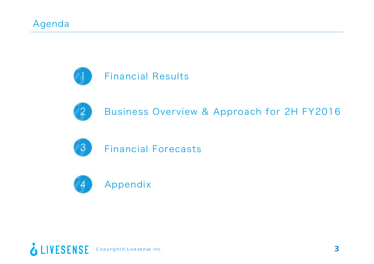



Business Overview & Approach for 2H FY2016



Financial Forecasts



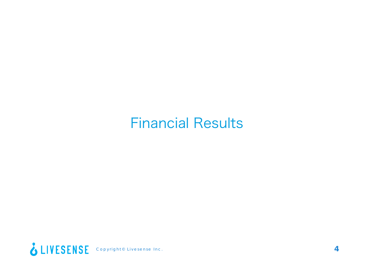# Financial Results

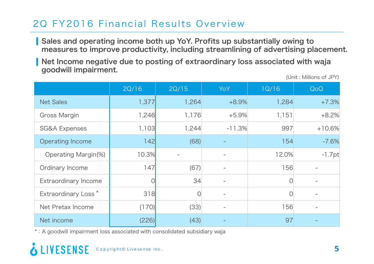# 2Q FY2016 Financial Results Overview

Sales and operating income both up YoY. Profits up substantially owing to measures to improve productivity, including streamlining of advertising placement.

Net Income negative due to posting of extraordinary loss associated with waja goodwill impairment.

|                                 | 2Q/16 | 2Q/15 | <b>YoY</b>               | 1Q/16 | QoQ       |
|---------------------------------|-------|-------|--------------------------|-------|-----------|
| <b>Net Sales</b>                | 1,377 | 1,264 | $+8.9%$                  | 1,284 | $+7.3%$   |
| <b>Gross Margin</b>             | 1,246 | 1,176 | $+5.9%$                  | 1,151 | $+8.2%$   |
| <b>SG&amp;A Expenses</b>        | 1,103 | 1,244 | $-11.3%$                 | 997   | $+10.6%$  |
| <b>Operating Income</b>         | 142   | (68)  |                          | 154   | $-7.6%$   |
| Operating Margin(%)             | 10.3% |       | $\overline{\phantom{a}}$ | 12.0% | $-1.7$ pt |
| Ordinary Income                 | 147   | (67)  | $\overline{\phantom{a}}$ | 156   |           |
| <b>Extraordinary Income</b>     | 0     | 34    | $\overline{\phantom{a}}$ | 0     |           |
| Extraordinary Loss <sup>*</sup> | 318   | 0     | $\overline{\phantom{m}}$ | 0     |           |
| Net Pretax Income               | (170) | (33)  |                          | 156   |           |
| Net income                      | (226) | (43)  |                          | 97    |           |

\*:A goodwill impairment loss associated with consolidated subsidiary waja

(Unit : Millions of JPY)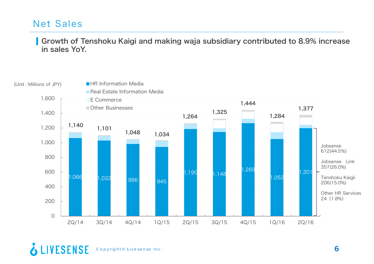#### Net Sales

#### Growth of Tenshoku Kaigi and making waja subsidiary contributed to 8.9% increase in sales YoY.

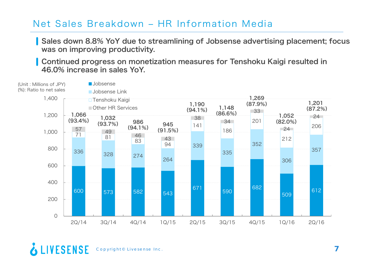#### Net Sales Breakdown - HR Information Media

Sales down 8.8% YoY due to streamlining of Jobsense advertising placement; focus was on improving productivity.

Continued progress on monetization measures for Tenshoku Kaigi resulted in 46.0% increase in sales YoY.

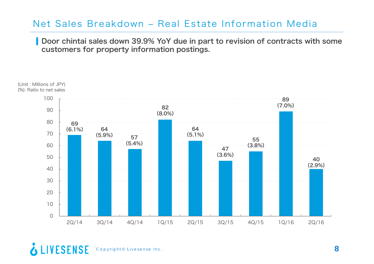#### Net Sales Breakdown - Real Estate Information Media

Door chintai sales down 39.9% YoY due in part to revision of contracts with some customers for property information postings.



& LIVESENSE Copyright© Livesense Inc. **8**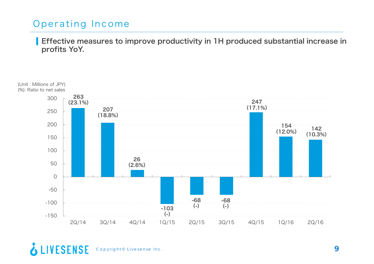# Operating Income

**Effective measures to improve productivity in 1H produced substantial increase in** profits YoY.

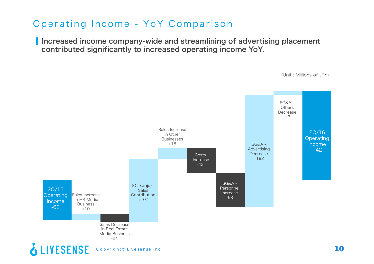# Operating Income - YoY Comparison

Increased income company-wide and streamlining of advertising placement contributed significantly to increased operating income YoY.



(Unit : Millions of JPY)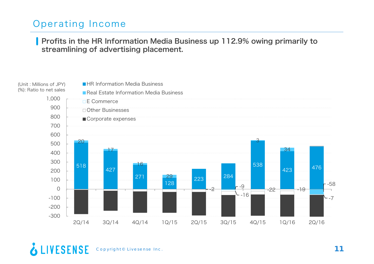# Operating Income

Profits in the HR Information Media Business up 112.9% owing primarily to streamlining of advertising placement.

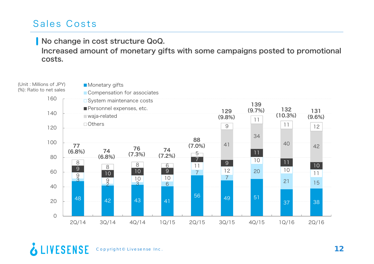#### Sales Costs

#### No change in cost structure QoQ.

Increased amount of monetary gifts with some campaigns posted to promotional costs.



```
& LIVESENSE
Copyright© Livesense Inc. 12
```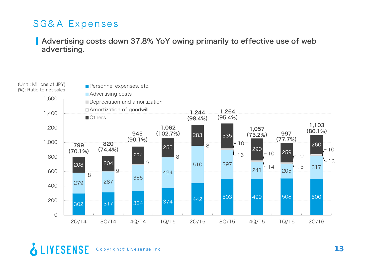# SG&A Expenses

#### Advertising costs down 37.8% YoY owing primarily to effective use of web advertising.



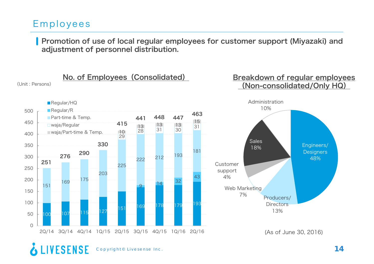#### Employees

(Unit : Persons)

Promotion of use of local regular employees for customer support (Miyazaki) and adjustment of personnel distribution.

No. of Employees (Consolidated)

#### Breakdown of regular employees (Non-consolidated/Only HQ)

Engineers/ **Designers** 48%



(As of June 30, 2016)

13%

#### **LIVESENSE** Copyright© Livesense Inc. **14**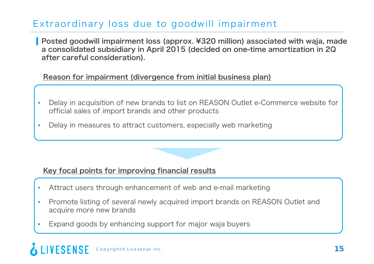# Extraordinary loss due to goodwill impairment

Posted goodwill impairment loss (approx. ¥320 million) associated with waja, made a consolidated subsidiary in April 2015 (decided on one-time amortization in 2Q after careful consideration).

#### Reason for impairment (divergence from initial business plan)

- • Delay in acquisition of new brands to list on REASON Outlet e-Commerce website for official sales of import brands and other products
- •Delay in measures to attract customers, especially web marketing

#### Key focal points for improving financial results

- •Attract users through enhancement of web and e-mail marketing
- • Promote listing of several newly acquired import brands on REASON Outlet and acquire more new brands
- •Expand goods by enhancing support for major waja buyers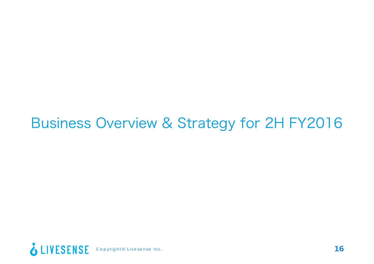# Business Overview & Strategy for 2H FY2016

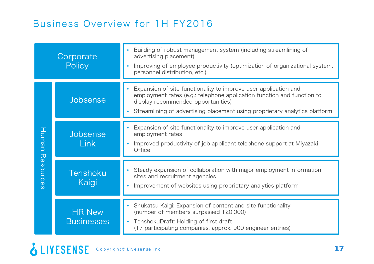#### Business Overview for 1H FY2016

|           | Corporate<br>Policy                | Building of robust management system (including streamlining of<br>advertising placement)<br>Improving of employee productivity (optimization of organizational system,<br>personnel distribution, etc.)                                                      |
|-----------|------------------------------------|---------------------------------------------------------------------------------------------------------------------------------------------------------------------------------------------------------------------------------------------------------------|
|           | Jobsense                           | Expansion of site functionality to improve user application and<br>employment rates (e.g.: telephone application function and function to<br>display recommended opportunities)<br>Streamlining of advertising placement using proprietary analytics platform |
| Human     | Jobsense<br><b>Link</b>            | Expansion of site functionality to improve user application and<br>employment rates<br>Improved productivity of job applicant telephone support at Miyazaki<br><b>Office</b>                                                                                  |
| Resources | Tenshoku<br>Kaigi                  | Steady expansion of collaboration with major employment information<br>sites and recruitment agencies<br>Improvement of websites using proprietary analytics platform                                                                                         |
|           | <b>HR New</b><br><b>Businesses</b> | Shukatsu Kaigi: Expansion of content and site functionality<br>(number of members surpassed 120,000)<br>TenshokuDraft: Holding of first draft<br>(17 participating companies, approx. 900 engineer entries)                                                   |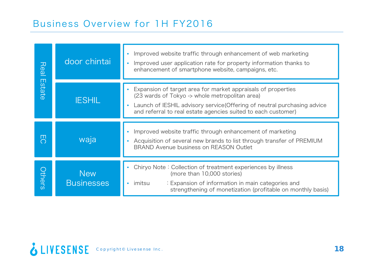#### Business Overview for 1H FY2016

| Real                   | door chintai                    | Improved website traffic through enhancement of web marketing<br>Improved user application rate for property information thanks to<br>enhancement of smartphone website, campaigns, etc.                                                                    |
|------------------------|---------------------------------|-------------------------------------------------------------------------------------------------------------------------------------------------------------------------------------------------------------------------------------------------------------|
| $\Box$<br><b>State</b> | <b>IESHIL</b>                   | Expansion of target area for market appraisals of properties<br>(23 wards of Tokyo -> whole metropolitan area)<br>Launch of IESHIL advisory service (Offering of neutral purchasing advice<br>and referral to real estate agencies suited to each customer) |
| $\Box$<br>$\bigcirc$   | waja                            | Improved website traffic through enhancement of marketing<br>Acquisition of several new brands to list through transfer of PREMIUM<br>BRAND Avenue business on REASON Outlet                                                                                |
| <b>Others</b>          | <b>New</b><br><b>Businesses</b> | Chiryo Note: Collection of treatment experiences by illness<br>(more than 10,000 stories)<br>imitsu<br>: Expansion of information in main categories and<br>strengthening of monetization (profitable on monthly basis)                                     |

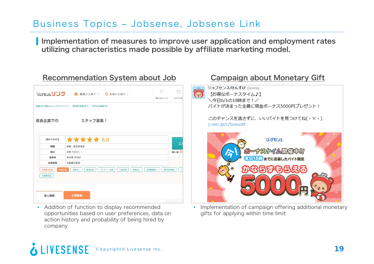## Business Topics ‒ Jobsense, Jobsense Link

Implementation of measures to improve user application and employment rates utilizing characteristics made possible by affiliate marketing model.

|        | Vijitu1 11 1 富 職種から探す > Q 地域から探す >                        | 気になるリスト | スカウト求                    |
|--------|-----------------------------------------------------------|---------|--------------------------|
|        | 転職/求人情報ならジョプセンスリンク > 東京都の転職/求人 > 渋谷区の転職/求人 >              |         |                          |
| 成長企業での | スタッフ募集!                                                   |         |                          |
| 受かりやすさ | ★★★★★ 5.0                                                 |         | こく                       |
| 職種     | 事務·経営管理系                                                  |         |                          |
| 給与     | 祝い金 20<br>月給 18万円~                                        |         |                          |
| 勤務地    | 東京都 渋谷区                                                   |         |                          |
| 応募資格   | 未経験者歓迎                                                    |         |                          |
| 未經験者欲迎 | 契約社員<br>転勤なし<br>ペンチャー企業<br>上場企業<br>残業なし<br>服装自由<br>長期休暇あり | 第2新卒歓迎  | $\overline{\phantom{a}}$ |

• Addition of function to display recommended opportunities based on user preferences, data on action history and probability of being hired by company

#### **LIVESENSE** Copyright© Livesense Inc. **19**



• Implementation of campaign offering additional monetary gifts for applying within time limit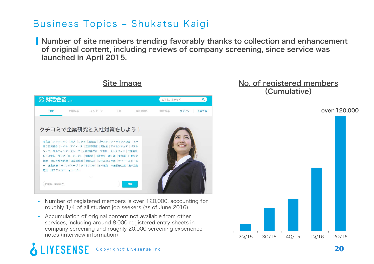#### Business Topics ‒ Shukatsu Kaigi

Number of site members trending favorably thanks to collection and enhancement of original content, including reviews of company screening, since service was launched in April 2015.



Site Image

- • Number of registered members is over 120,000, accounting for roughly 1/4 of all student job seekers (as of June 2016)
- Accumulation of original content not available from other services, including around 8,000 registered entry sheets in company screening and roughly 20,000 screening experience notes (interview information)

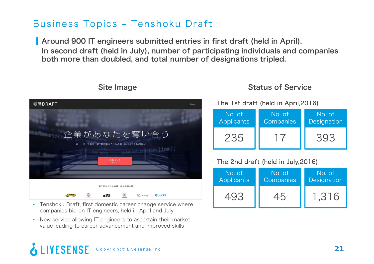## Business Topics ‒ Tenshoku Draft

Around 900 IT engineers submitted entries in first draft (held in April). In second draft (held in July), number of participating individuals and companies both more than doubled, and total number of designations tripled.

#### Site Image

| 転職DRAFT                                                              | Login |
|----------------------------------------------------------------------|-------|
|                                                                      |       |
| 企業があなたを奪い合う                                                          |       |
| ITエンジニア限定 第二回転職ドラフト会議 2016年7月14日開催!<br>intlin(line);                 |       |
| ENTRY                                                                |       |
| 参加する                                                                 |       |
|                                                                      |       |
| 第二回ドラフト会議 参加企業一覧                                                     |       |
| $\circlede$<br>0<br><b>A BASE</b><br>◎コロプラ<br>(C) Coiney<br>Akarsick |       |

- Tenshoku Draft, first domestic career change service where companies bid on IT engineers, held in April and July
- New service allowing IT engineers to ascertain their market value leading to career advancement and improved skills

#### **LIVESENSE** Copyright© Livesense Inc. **21**

#### Status of Service

| No. of            | No. of    | No. of      |
|-------------------|-----------|-------------|
| <b>Applicants</b> | Companies | Designation |
| 235               |           | 303         |

#### The 2nd draft (held in July,2016)

The 1st draft (held in April,2016)

| No. of            | No. of    | No. of      |
|-------------------|-----------|-------------|
| <b>Applicants</b> | Companies | Designation |
|                   |           | 1.316       |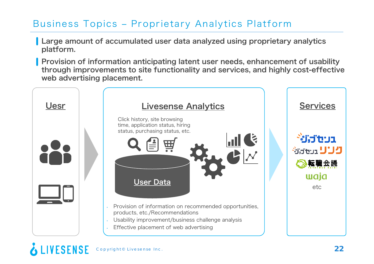# Business Topics ‒ Proprietary Analytics Platform

- **Large amount of accumulated user data analyzed using proprietary analytics** platform.
- **Provision of information anticipating latent user needs, enhancement of usability** through improvements to site functionality and services, and highly cost-effective web advertising placement.

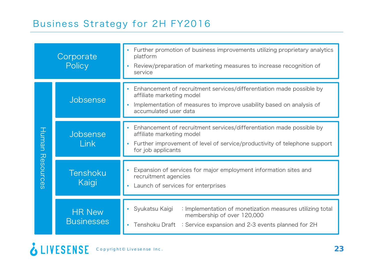| Corporate<br>Policy |                                    | • Further promotion of business improvements utilizing proprietary analytics<br>platform<br>Review/preparation of marketing measures to increase recognition of<br>$\bullet$<br>service              |  |  |
|---------------------|------------------------------------|------------------------------------------------------------------------------------------------------------------------------------------------------------------------------------------------------|--|--|
|                     | Jobsense                           | Enhancement of recruitment services/differentiation made possible by<br>affiliate marketing model<br>Implementation of measures to improve usability based on analysis of<br>accumulated user data   |  |  |
| Human               | Jobsense<br><b>Link</b>            | Enhancement of recruitment services/differentiation made possible by<br>affiliate marketing model<br>Further improvement of level of service/productivity of telephone support<br>for job applicants |  |  |
| Resources           | Tenshoku<br>Kaigi                  | Expansion of services for major employment information sites and<br>recruitment agencies<br>Launch of services for enterprises                                                                       |  |  |
|                     | <b>HR New</b><br><b>Businesses</b> | • Syukatsu Kaigi<br>: Implementation of monetization measures utilizing total<br>membership of over 120,000<br>Tenshoku Draft : Service expansion and 2-3 events planned for 2H                      |  |  |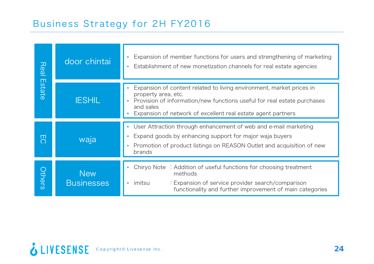## Business Strategy for 2H FY2016

| Real            | door chintai                    | Expansion of member functions for users and strengthening of marketing<br>Establishment of new monetization channels for real estate agencies                                                                                                       |
|-----------------|---------------------------------|-----------------------------------------------------------------------------------------------------------------------------------------------------------------------------------------------------------------------------------------------------|
| $\Box$<br>state | <b>IESHIL</b>                   | Expansion of content related to living environment, market prices in<br>property area, etc.<br>Provision of information/new functions useful for real estate purchases<br>and sales<br>Expansion of network of excellent real estate agent partners |
| ш<br>$\bigcirc$ | waja                            | User Attraction through enhancement of web and e-mail marketing<br>Expand goods by enhancing support for major waja buyers<br>Promotion of product listings on REASON Outlet and acquisition of new<br>brands                                       |
| <b>Others</b>   | <b>New</b><br><b>Businesses</b> | Chiryo Note : Addition of useful functions for choosing treatment<br>methods<br>imitsu<br>: Expansion of service provider search/comparison<br>functionality and further improvement of main categories                                             |

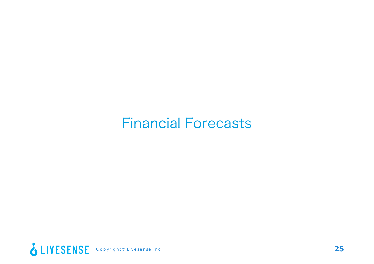# Financial Forecasts

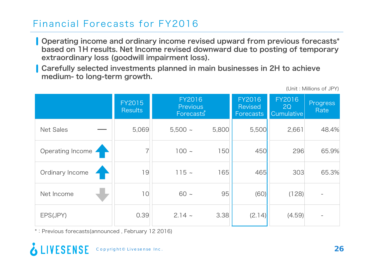## Financial Forecasts for FY2016

Operating income and ordinary income revised upward from previous forecasts\* based on 1H results. Net Income revised downward due to posting of temporary extraordinary loss (goodwill impairment loss).

Carefully selected investments planned in main businesses in 2H to achieve medium- to long-term growth.

FY2015**Results** FY2016PreviousForecast $\mathring{\mathring{s}}$ FY2016Revised ForecastsFY20162Q Cumulative Progress **Rate** Net Sales —— | 5,069 | 5,500 ~ 5,800 | 5,500 | 2,661 | 48.4% Operating Income 7 | 7 | 100 ~ 150 450 296 65.9% Ordinary Income 19 115 <sup>~</sup> 165 465 303 65.3% Net Income 10 60 <sup>~</sup> 95 (60) (128) - EPS(JPY) 0.39 2.14 <sup>~</sup> 3.38 (2.14) (4.59) -

\*:Previous forecasts(announced , February 12 2016)

#### **VESENSE** Copyright© Livesense Inc. **26**

(Unit : Millions of JPY)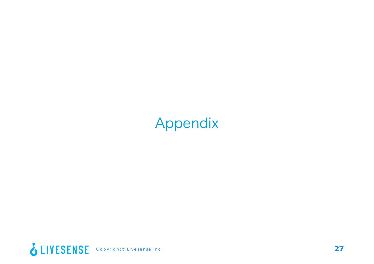# Appendix

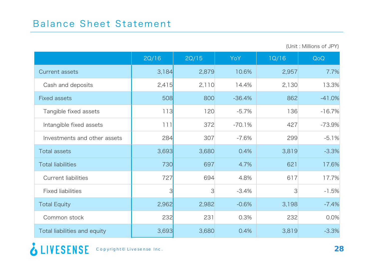|                              | 2Q/16 | 2Q/15 | <b>YoY</b> | 1Q/16         | QoQ      |
|------------------------------|-------|-------|------------|---------------|----------|
| <b>Current assets</b>        | 3,184 | 2,879 | 10.6%      | 2,957         | 7.7%     |
| Cash and deposits            | 2,415 | 2,110 | 14.4%      | 2,130         | 13.3%    |
| <b>Fixed assets</b>          | 508   | 800   | $-36.4%$   | 862           | $-41.0%$ |
| Tangible fixed assets        | 113   | 120   | $-5.7%$    | 136           | $-16.7%$ |
| Intangible fixed assets      | 111   | 372   | $-70.1%$   | 427           | $-73.9%$ |
| Investments and other assets | 284   | 307   | $-7.6%$    | 299           | $-5.1%$  |
| <b>Total assets</b>          | 3,693 | 3,680 | 0.4%       | 3,819         | $-3.3%$  |
| <b>Total liabilities</b>     | 730   | 697   | 4.7%       | 621           | 17.6%    |
| <b>Current liabilities</b>   | 727   | 694   | 4.8%       | 617           | 17.7%    |
| <b>Fixed liabilities</b>     | 3     | 3     | $-3.4%$    | $\mathcal{S}$ | $-1.5%$  |
| <b>Total Equity</b>          | 2,962 | 2,982 | $-0.6%$    | 3,198         | $-7.4%$  |
| Common stock                 | 232   | 231   | 0.3%       | 232           | 0.0%     |
| Total liabilities and equity | 3,693 | 3,680 | 0.4%       | 3,819         | $-3.3%$  |

(Unit : Millions of JPY)

**2** LIVESENSE Copyright® Livesense Inc.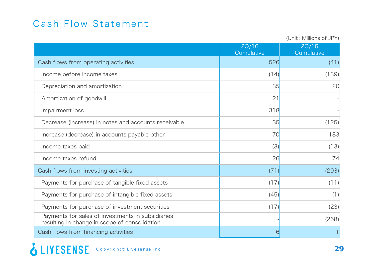# Cash Flow Statement

|                                                                                                    | (Unit: Millions of JPY) |                     |  |
|----------------------------------------------------------------------------------------------------|-------------------------|---------------------|--|
|                                                                                                    | 2Q/16<br>Cumulative     | 2Q/15<br>Cumulative |  |
| Cash flows from operating activities                                                               | 526                     | (41)                |  |
| Income before income taxes                                                                         | (14)                    | (139)               |  |
| Depreciation and amortization                                                                      | 35                      | 20                  |  |
| Amortization of goodwill                                                                           | 21                      |                     |  |
| Impairment loss                                                                                    | 318                     |                     |  |
| Decrease (increase) in notes and accounts receivable                                               | 35                      | (125)               |  |
| Increase (decrease) in accounts payable-other                                                      | 70                      | 183                 |  |
| Income taxes paid                                                                                  | (3)                     | (13)                |  |
| Income taxes refund                                                                                | 26                      | 74                  |  |
| Cash flows from investing activities                                                               | (71)                    | (293)               |  |
| Payments for purchase of tangible fixed assets                                                     | (17)                    | (11)                |  |
| Payments for purchase of intangible fixed assets                                                   | (45)                    | (1)                 |  |
| Payments for purchase of investment securities                                                     | (17)                    | (23)                |  |
| Payments for sales of investments in subsidiaries<br>resulting in change in scope of consolidation |                         | (268)               |  |
| Cash flows from financing activities                                                               | 61                      |                     |  |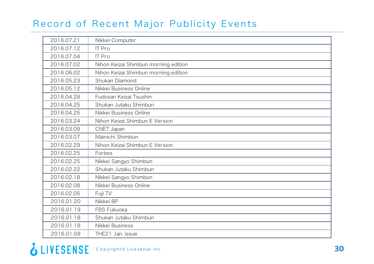# Record of Recent Major Publicity Events

| 2016.07.21 | Nikkei Computer                      |
|------------|--------------------------------------|
| 2016.07.12 | <b>IT Pro</b>                        |
| 2016.07.04 | <b>IT Pro</b>                        |
| 2016.07.02 | Nihon Keizai Shimbun morning edition |
| 2016.06.02 | Nihon Keizai Shimbun morning edition |
| 2016.05.23 | Shukan Diamond                       |
| 2016.05.12 | Nikkei Business Online               |
| 2016.04.28 | Fudosan Keizai Tsushin               |
| 2016.04.25 | Shukan Jutaku Shimbun                |
| 2016.04.25 | Nikkei Business Online               |
| 2016.03.24 | Nihon Keizai Shimbun E Version       |
| 2016.03.09 | CNET Japan                           |
| 2016.03.07 | Mainichi Shimbun                     |
| 2016.02.29 | Nihon Keizai Shimbun E Version       |
| 2016.02.25 | Forbes                               |
| 2016.02.25 | Nikkei Sangyo Shimbun                |
| 2016.02.22 | Shukan Jutaku Shimbun                |
| 2016.02.18 | Nikkei Sangyo Shimbun                |
| 2016.02.08 | Nikkei Business Online               |
| 2016.02.05 | Fuji TV                              |
| 2016.01.20 | Nikkei BP                            |
| 2016.01.19 | FBS Fukuoka                          |
| 2016.01.18 | Shukan Jutaku Shimbun                |
| 2016.01.18 | Nikkei Business                      |
| 2016.01.09 | THE21 Jan. issue                     |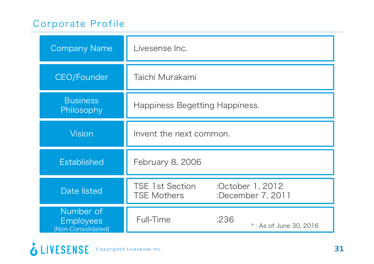# Corporate Profile

| <b>Company Name</b>                                 | Livesense Inc.                                                                        |
|-----------------------------------------------------|---------------------------------------------------------------------------------------|
| CEO/Founder                                         | Taichi Murakami                                                                       |
| <b>Business</b><br>Philosophy                       | Happiness Begetting Happiness.                                                        |
| <b>Vision</b>                                       | Invent the next common.                                                               |
| <b>Established</b>                                  | February 8, 2006                                                                      |
| Date listed                                         | <b>TSE 1st Section</b><br>:October 1, 2012<br><b>TSE Mothers</b><br>:December 7, 2011 |
| Number of<br><b>Employees</b><br>(Non-Consolidated) | Full-Time<br>:236<br>*: As of June 30, 2016                                           |